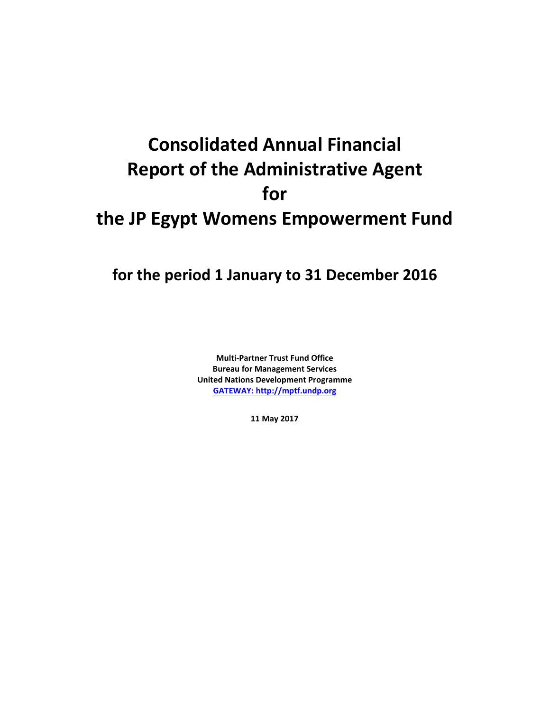# **Consolidated Annual Financial Report of the Administrative Agent for the JP Egypt Womens Empowerment Fund**

## **for the period 1 January to 31 December 2016**

**Multi-Partner Trust Fund Office Bureau for Management Services United Nations Development Programme [GATEWAY: http://mptf.undp.org](http://mptf.undp.org/)**

**11 May 2017**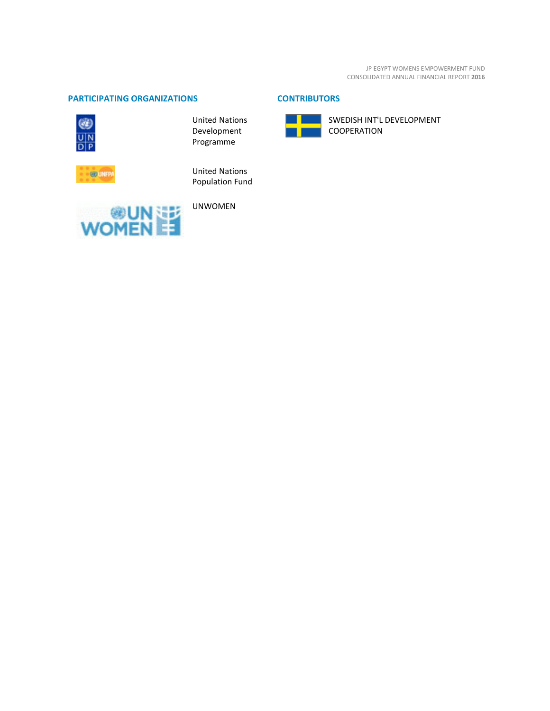JP EGYPT WOMENS EMPOWERMENT FUND CONSOLIDATED ANNUAL FINANCIAL REPORT **2016**

#### **PARTICIPATING ORGANIZATIONS CONTRIBUTORS**



United Nations Development Programme



United Nations Population Fund



UNWOMEN



SWEDISH INT'L DEVELOPMENT COOPERATION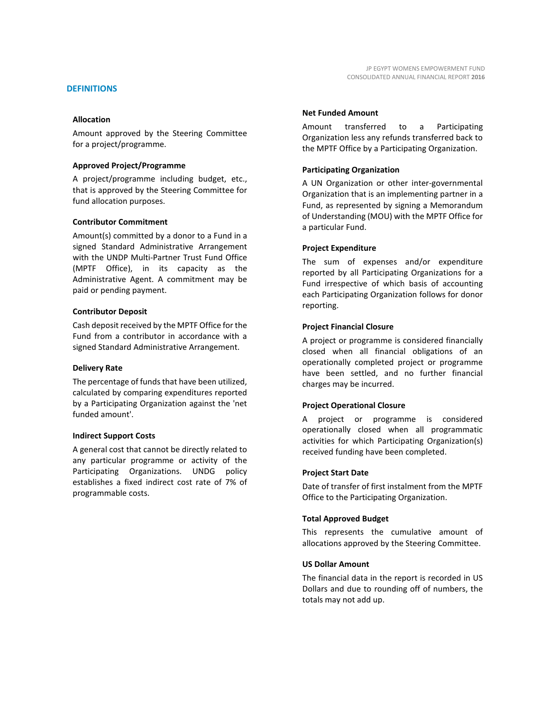#### **Allocation**

Amount approved by the Steering Committee for a project/programme.

#### **Approved Project/Programme**

A project/programme including budget, etc., that is approved by the Steering Committee for fund allocation purposes.

#### **Contributor Commitment**

Amount(s) committed by a donor to a Fund in a signed Standard Administrative Arrangement with the UNDP Multi-Partner Trust Fund Office (MPTF Office), in its capacity as the Administrative Agent. A commitment may be paid or pending payment.

#### **Contributor Deposit**

Cash deposit received by the MPTF Office for the Fund from a contributor in accordance with a signed Standard Administrative Arrangement.

#### **Delivery Rate**

The percentage of funds that have been utilized, calculated by comparing expenditures reported by a Participating Organization against the 'net funded amount'.

#### **Indirect Support Costs**

A general cost that cannot be directly related to any particular programme or activity of the Participating Organizations. UNDG policy establishes a fixed indirect cost rate of 7% of programmable costs.

#### **Net Funded Amount**

Amount transferred to a Participating Organization less any refunds transferred back to the MPTF Office by a Participating Organization.

#### **Participating Organization**

A UN Organization or other inter-governmental Organization that is an implementing partner in a Fund, as represented by signing a Memorandum of Understanding (MOU) with the MPTF Office for a particular Fund.

#### **Project Expenditure**

The sum of expenses and/or expenditure reported by all Participating Organizations for a Fund irrespective of which basis of accounting each Participating Organization follows for donor reporting.

#### **Project Financial Closure**

A project or programme is considered financially closed when all financial obligations of an operationally completed project or programme have been settled, and no further financial charges may be incurred.

#### **Project Operational Closure**

A project or programme is considered operationally closed when all programmatic activities for which Participating Organization(s) received funding have been completed.

#### **Project Start Date**

Date of transfer of first instalment from the MPTF Office to the Participating Organization.

#### **Total Approved Budget**

This represents the cumulative amount of allocations approved by the Steering Committee.

#### **US Dollar Amount**

The financial data in the report is recorded in US Dollars and due to rounding off of numbers, the totals may not add up.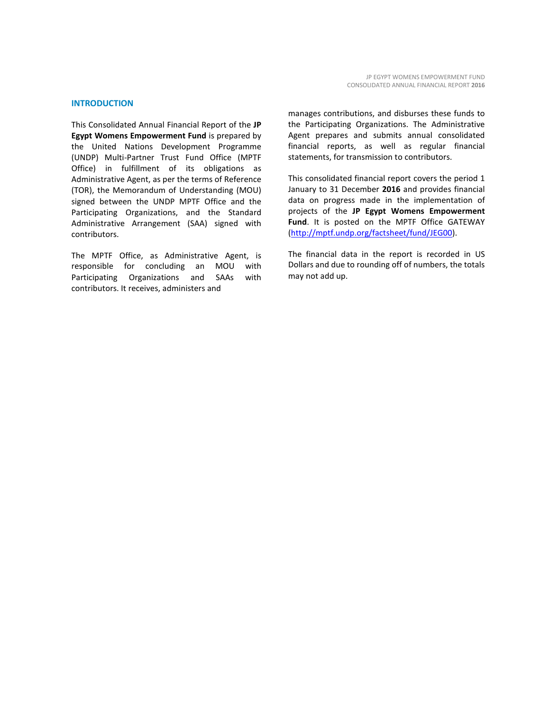#### **INTRODUCTION**

This Consolidated Annual Financial Report of the **JP Egypt Womens Empowerment Fund** is prepared by the United Nations Development Programme (UNDP) Multi-Partner Trust Fund Office (MPTF Office) in fulfillment of its obligations as Administrative Agent, as per the terms of Reference (TOR), the Memorandum of Understanding (MOU) signed between the UNDP MPTF Office and the Participating Organizations, and the Standard Administrative Arrangement (SAA) signed with contributors.

The MPTF Office, as Administrative Agent, is responsible for concluding an MOU with Participating Organizations and SAAs with contributors. It receives, administers and

manages contributions, and disburses these funds to the Participating Organizations. The Administrative Agent prepares and submits annual consolidated financial reports, as well as regular financial statements, for transmission to contributors.

This consolidated financial report covers the period 1 January to 31 December **2016** and provides financial data on progress made in the implementation of projects of the **JP Egypt Womens Empowerment Fund**. It is posted on the MPTF Office GATEWAY [\(http://mptf.undp.org/factsheet/fund/JEG00\)](http://mptf.undp.org/factsheet/fund/JEG00).

The financial data in the report is recorded in US Dollars and due to rounding off of numbers, the totals may not add up.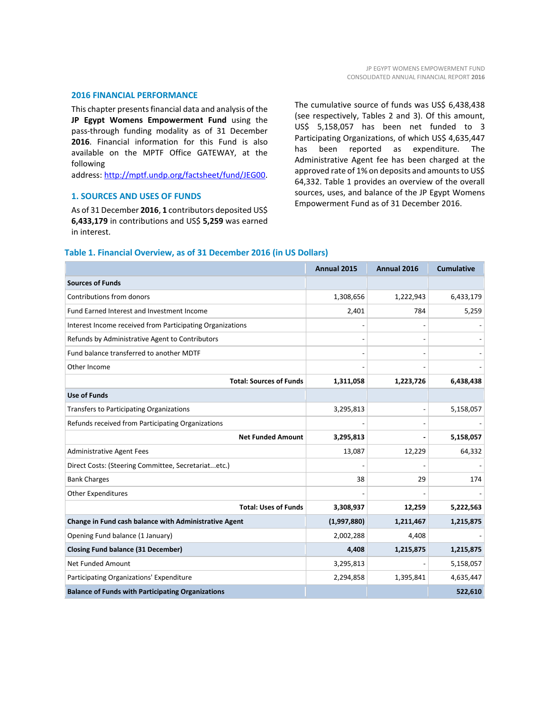#### **2016 FINANCIAL PERFORMANCE**

This chapter presents financial data and analysis of the **JP Egypt Womens Empowerment Fund** using the pass-through funding modality as of 31 December **2016**. Financial information for this Fund is also available on the MPTF Office GATEWAY, at the following

address: [http://mptf.undp.org/factsheet/fund/JEG00.](http://mptf.undp.org/factsheet/fund/JEG00)

#### **1. SOURCES AND USES OF FUNDS**

As of 31 December **2016**, **1** contributors deposited US\$ **6,433,179** in contributions and US\$ **5,259** was earned in interest.

The cumulative source of funds was US\$ 6,438,438 (see respectively, Tables 2 and 3). Of this amount, US\$ 5,158,057 has been net funded to 3 Participating Organizations, of which US\$ 4,635,447 has been reported as expenditure. The Administrative Agent fee has been charged at the approved rate of 1% on deposits and amounts to US\$ 64,332. Table 1 provides an overview of the overall sources, uses, and balance of the JP Egypt Womens Empowerment Fund as of 31 December 2016.

#### **Table 1. Financial Overview, as of 31 December 2016 (in US Dollars)**

|                                                           | <b>Annual 2015</b> | Annual 2016 | <b>Cumulative</b> |
|-----------------------------------------------------------|--------------------|-------------|-------------------|
| <b>Sources of Funds</b>                                   |                    |             |                   |
| Contributions from donors                                 | 1,308,656          | 1,222,943   | 6,433,179         |
| Fund Earned Interest and Investment Income                | 2,401              | 784         | 5,259             |
| Interest Income received from Participating Organizations |                    |             |                   |
| Refunds by Administrative Agent to Contributors           |                    |             |                   |
| Fund balance transferred to another MDTF                  |                    |             |                   |
| Other Income                                              |                    |             |                   |
| <b>Total: Sources of Funds</b>                            | 1,311,058          | 1,223,726   | 6,438,438         |
| <b>Use of Funds</b>                                       |                    |             |                   |
| <b>Transfers to Participating Organizations</b>           | 3,295,813          |             | 5,158,057         |
| Refunds received from Participating Organizations         |                    |             |                   |
| <b>Net Funded Amount</b>                                  | 3,295,813          |             | 5,158,057         |
| <b>Administrative Agent Fees</b>                          | 13,087             | 12,229      | 64,332            |
| Direct Costs: (Steering Committee, Secretariatetc.)       |                    |             |                   |
| <b>Bank Charges</b>                                       | 38                 | 29          | 174               |
| <b>Other Expenditures</b>                                 |                    |             |                   |
| <b>Total: Uses of Funds</b>                               | 3,308,937          | 12,259      | 5,222,563         |
| Change in Fund cash balance with Administrative Agent     | (1,997,880)        | 1,211,467   | 1,215,875         |
| Opening Fund balance (1 January)                          | 2,002,288          | 4,408       |                   |
| <b>Closing Fund balance (31 December)</b>                 | 4,408              | 1,215,875   | 1,215,875         |
| <b>Net Funded Amount</b>                                  | 3,295,813          |             | 5,158,057         |
| Participating Organizations' Expenditure                  | 2,294,858          | 1,395,841   | 4,635,447         |
| <b>Balance of Funds with Participating Organizations</b>  |                    |             | 522,610           |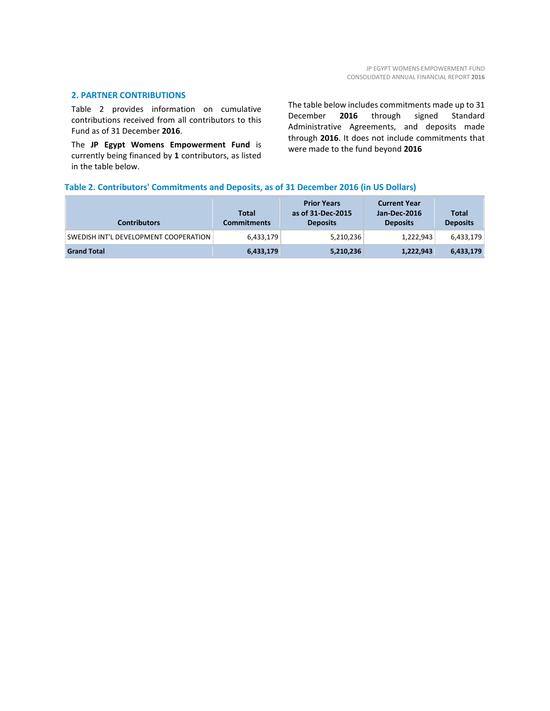#### **2. PARTNER CONTRIBUTIONS**

Table 2 provides information on cumulative contributions received from all contributors to this Fund as of 31 December **2016**.

The **JP Egypt Womens Empowerment Fund** is currently being financed by **1** contributors, as listed in the table below.

The table below includes commitments made up to 31 December **2016** through signed Standard Administrative Agreements, and deposits made through **2016**. It does not include commitments that were made to the fund beyond **2016**

#### **Table 2. Contributors' Commitments and Deposits, as of 31 December 2016 (in US Dollars)**

| <b>Contributors</b>                   | Total<br><b>Commitments</b> | <b>Prior Years</b><br>as of 31-Dec-2015<br><b>Deposits</b> | <b>Current Year</b><br>Jan-Dec-2016<br><b>Deposits</b> | <b>Total</b><br><b>Deposits</b> |
|---------------------------------------|-----------------------------|------------------------------------------------------------|--------------------------------------------------------|---------------------------------|
| SWEDISH INT'L DEVELOPMENT COOPERATION | 6,433,179                   | 5,210,236                                                  | 1,222,943                                              | 6,433,179                       |
| <b>Grand Total</b>                    | 6,433,179                   | 5,210,236                                                  | 1,222,943                                              | 6,433,179                       |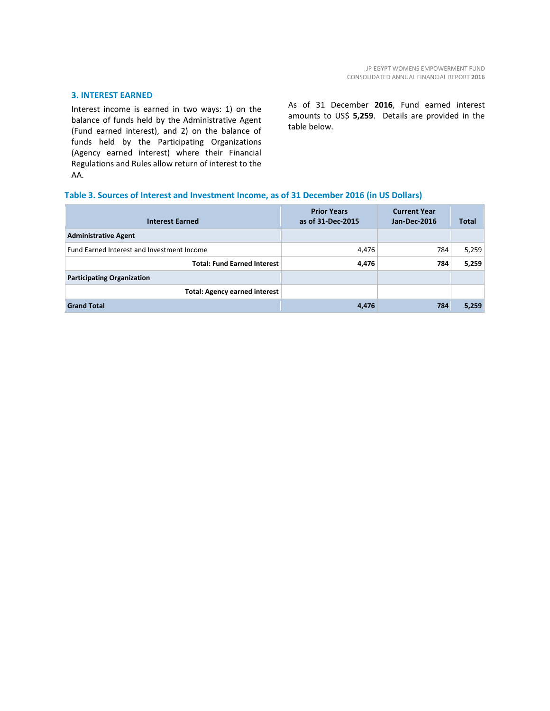#### **3. INTEREST EARNED**

Interest income is earned in two ways: 1) on the balance of funds held by the Administrative Agent (Fund earned interest), and 2) on the balance of funds held by the Participating Organizations (Agency earned interest) where their Financial Regulations and Rules allow return of interest to the AA.

As of 31 December **2016**, Fund earned interest amounts to US\$ **5,259**. Details are provided in the table below.

#### **Table 3. Sources of Interest and Investment Income, as of 31 December 2016 (in US Dollars)**

| <b>Interest Earned</b>                     | <b>Prior Years</b><br>as of 31-Dec-2015 | <b>Current Year</b><br>Jan-Dec-2016 | <b>Total</b> |
|--------------------------------------------|-----------------------------------------|-------------------------------------|--------------|
| <b>Administrative Agent</b>                |                                         |                                     |              |
| Fund Earned Interest and Investment Income | 4,476                                   | 784                                 | 5,259        |
| <b>Total: Fund Earned Interest</b>         | 4,476                                   | 784                                 | 5,259        |
| <b>Participating Organization</b>          |                                         |                                     |              |
| <b>Total: Agency earned interest</b>       |                                         |                                     |              |
| <b>Grand Total</b>                         | 4,476                                   | 784                                 | 5,259        |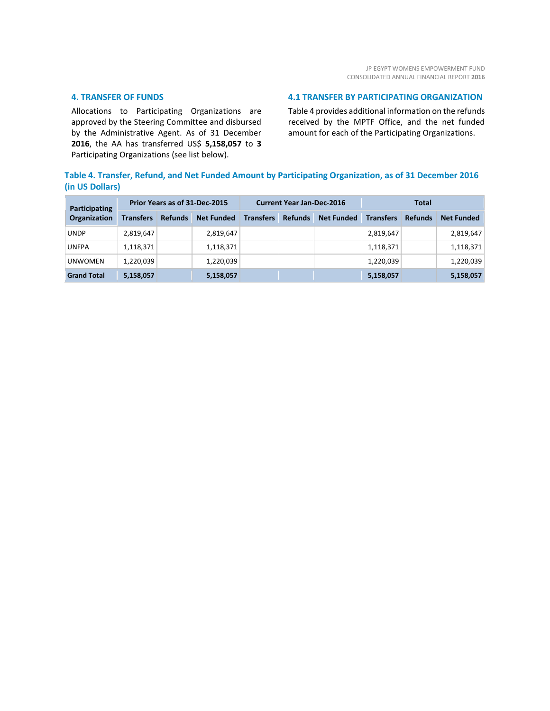#### **4. TRANSFER OF FUNDS**

Allocations to Participating Organizations are approved by the Steering Committee and disbursed by the Administrative Agent. As of 31 December **2016**, the AA has transferred US\$ **5,158,057** to **3** Participating Organizations (see list below).

#### **4.1 TRANSFER BY PARTICIPATING ORGANIZATION**

Table 4 provides additional information on the refunds received by the MPTF Office, and the net funded amount for each of the Participating Organizations.

### **Table 4. Transfer, Refund, and Net Funded Amount by Participating Organization, as of 31 December 2016 (in US Dollars)**

| Participating<br><b>Organization</b> | Prior Years as of 31-Dec-2015 |                |                   | <b>Current Year Jan-Dec-2016</b> |                |                   | <b>Total</b>     |                |                   |
|--------------------------------------|-------------------------------|----------------|-------------------|----------------------------------|----------------|-------------------|------------------|----------------|-------------------|
|                                      | <b>Transfers</b>              | <b>Refunds</b> | <b>Net Funded</b> | <b>Transfers</b>                 | <b>Refunds</b> | <b>Net Funded</b> | <b>Transfers</b> | <b>Refunds</b> | <b>Net Funded</b> |
| <b>UNDP</b>                          | 2,819,647                     |                | 2,819,647         |                                  |                |                   | 2,819,647        |                | 2,819,647         |
| <b>UNFPA</b>                         | 1,118,371                     |                | 1,118,371         |                                  |                |                   | 1,118,371        |                | 1,118,371         |
| <b>UNWOMEN</b>                       | 1,220,039                     |                | 1,220,039         |                                  |                |                   | 1,220,039        |                | 1,220,039         |
| <b>Grand Total</b>                   | 5,158,057                     |                | 5,158,057         |                                  |                |                   | 5,158,057        |                | 5,158,057         |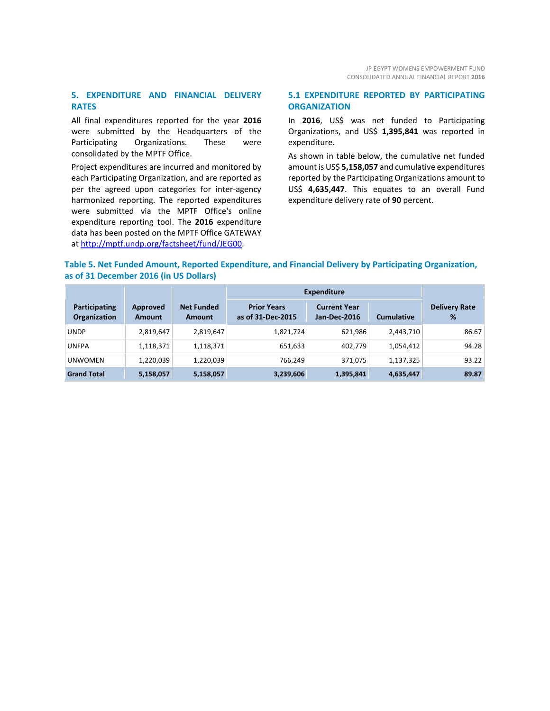#### **5. EXPENDITURE AND FINANCIAL DELIVERY RATES**

All final expenditures reported for the year **2016** were submitted by the Headquarters of the Participating Organizations. These were consolidated by the MPTF Office.

Project expenditures are incurred and monitored by each Participating Organization, and are reported as per the agreed upon categories for inter-agency harmonized reporting. The reported expenditures were submitted via the MPTF Office's online expenditure reporting tool. The **2016** expenditure data has been posted on the MPTF Office GATEWAY at [http://mptf.undp.org/factsheet/fund/JEG00.](http://mptf.undp.org/factsheet/fund/JEG00) 

#### **5.1 EXPENDITURE REPORTED BY PARTICIPATING ORGANIZATION**

In **2016**, US\$ was net funded to Participating Organizations, and US\$ **1,395,841** was reported in expenditure.

As shown in table below, the cumulative net funded amount is US\$ **5,158,057** and cumulative expenditures reported by the Participating Organizations amount to US\$ **4,635,447**. This equates to an overall Fund expenditure delivery rate of **90** percent.

#### **Table 5. Net Funded Amount, Reported Expenditure, and Financial Delivery by Participating Organization, as of 31 December 2016 (in US Dollars)**

|                                      |                           |                                    | <b>Expenditure</b>                      |                                            |                   |                           |
|--------------------------------------|---------------------------|------------------------------------|-----------------------------------------|--------------------------------------------|-------------------|---------------------------|
| Participating<br><b>Organization</b> | Approved<br><b>Amount</b> | <b>Net Funded</b><br><b>Amount</b> | <b>Prior Years</b><br>as of 31-Dec-2015 | <b>Current Year</b><br><b>Jan-Dec-2016</b> | <b>Cumulative</b> | <b>Delivery Rate</b><br>% |
| <b>UNDP</b>                          | 2,819,647                 | 2,819,647                          | 1,821,724                               | 621,986                                    | 2,443,710         | 86.67                     |
| <b>UNFPA</b>                         | 1,118,371                 | 1,118,371                          | 651,633                                 | 402,779                                    | 1,054,412         | 94.28                     |
| <b>UNWOMEN</b>                       | 1,220,039                 | 1,220,039                          | 766,249                                 | 371.075                                    | 1,137,325         | 93.22                     |
| <b>Grand Total</b>                   | 5,158,057                 | 5,158,057                          | 3,239,606                               | 1,395,841                                  | 4,635,447         | 89.87                     |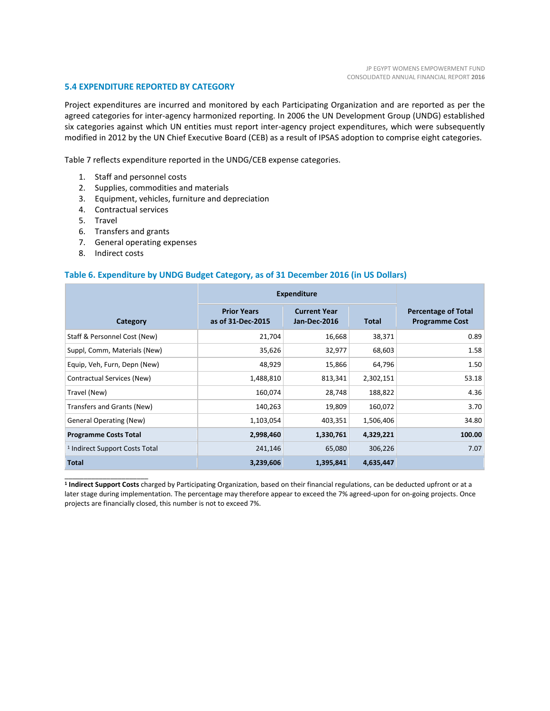#### **5.4 EXPENDITURE REPORTED BY CATEGORY**

Project expenditures are incurred and monitored by each Participating Organization and are reported as per the agreed categories for inter-agency harmonized reporting. In 2006 the UN Development Group (UNDG) established six categories against which UN entities must report inter-agency project expenditures, which were subsequently modified in 2012 by the UN Chief Executive Board (CEB) as a result of IPSAS adoption to comprise eight categories.

Table 7 reflects expenditure reported in the UNDG/CEB expense categories.

- 1. Staff and personnel costs
- 2. Supplies, commodities and materials
- 3. Equipment, vehicles, furniture and depreciation
- 4. Contractual services
- 5. Travel
- 6. Transfers and grants
- 7. General operating expenses
- 8. Indirect costs

\_\_\_\_\_\_\_\_\_\_\_\_\_\_\_\_\_\_\_\_\_\_

#### **Table 6. Expenditure by UNDG Budget Category, as of 31 December 2016 (in US Dollars)**

|                                           | <b>Expenditure</b>                      |                                     |              |                                                     |
|-------------------------------------------|-----------------------------------------|-------------------------------------|--------------|-----------------------------------------------------|
| Category                                  | <b>Prior Years</b><br>as of 31-Dec-2015 | <b>Current Year</b><br>Jan-Dec-2016 | <b>Total</b> | <b>Percentage of Total</b><br><b>Programme Cost</b> |
| Staff & Personnel Cost (New)              | 21,704                                  | 16,668                              | 38,371       | 0.89                                                |
| Suppl, Comm, Materials (New)              | 35,626                                  | 32,977                              | 68,603       | 1.58                                                |
| Equip, Veh, Furn, Depn (New)              | 48,929                                  | 15,866                              | 64,796       | 1.50                                                |
| Contractual Services (New)                | 1,488,810                               | 813,341                             | 2,302,151    | 53.18                                               |
| Travel (New)                              | 160,074                                 | 28,748                              | 188,822      | 4.36                                                |
| Transfers and Grants (New)                | 140,263                                 | 19,809                              | 160,072      | 3.70                                                |
| <b>General Operating (New)</b>            | 1,103,054                               | 403,351                             | 1,506,406    | 34.80                                               |
| <b>Programme Costs Total</b>              | 2,998,460                               | 1,330,761                           | 4,329,221    | 100.00                                              |
| <sup>1</sup> Indirect Support Costs Total | 241,146                                 | 65,080                              | 306,226      | 7.07                                                |
| <b>Total</b>                              | 3,239,606                               | 1,395,841                           | 4,635,447    |                                                     |

**<sup>1</sup> Indirect Support Costs** charged by Participating Organization, based on their financial regulations, can be deducted upfront or at a later stage during implementation. The percentage may therefore appear to exceed the 7% agreed-upon for on-going projects. Once projects are financially closed, this number is not to exceed 7%.